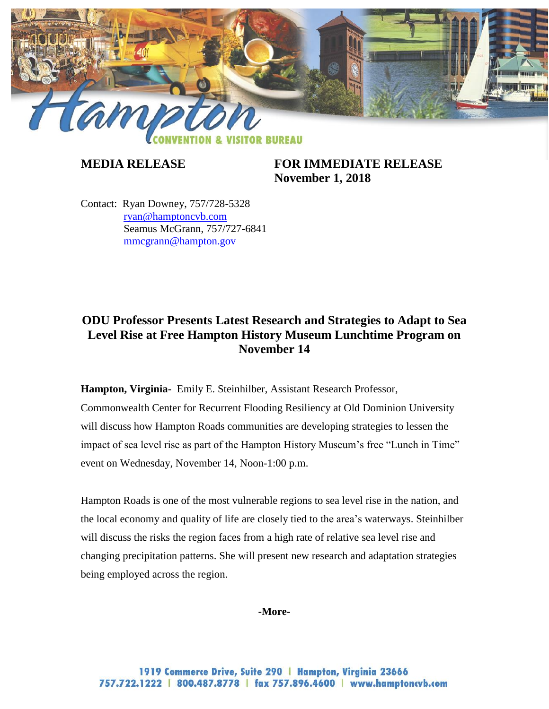

**MEDIA RELEASE FOR IMMEDIATE RELEASE November 1, 2018**

Contact: Ryan Downey, 757/728-5328 [ryan@hamptoncvb.com](mailto:ryan@hamptoncvb.com) Seamus McGrann, 757/727-6841 [mmcgrann@hampton.gov](mailto:mmcgrann@hampton.gov)

# **ODU Professor Presents Latest Research and Strategies to Adapt to Sea Level Rise at Free Hampton History Museum Lunchtime Program on November 14**

**Hampton, Virginia-** Emily E. Steinhilber, Assistant Research Professor, Commonwealth Center for Recurrent Flooding Resiliency at Old Dominion University

will discuss how Hampton Roads communities are developing strategies to lessen the impact of sea level rise as part of the Hampton History Museum's free "Lunch in Time" event on Wednesday, November 14, Noon-1:00 p.m.

Hampton Roads is one of the most vulnerable regions to sea level rise in the nation, and the local economy and quality of life are closely tied to the area's waterways. Steinhilber will discuss the risks the region faces from a high rate of relative sea level rise and changing precipitation patterns. She will present new research and adaptation strategies being employed across the region.

# **-More-**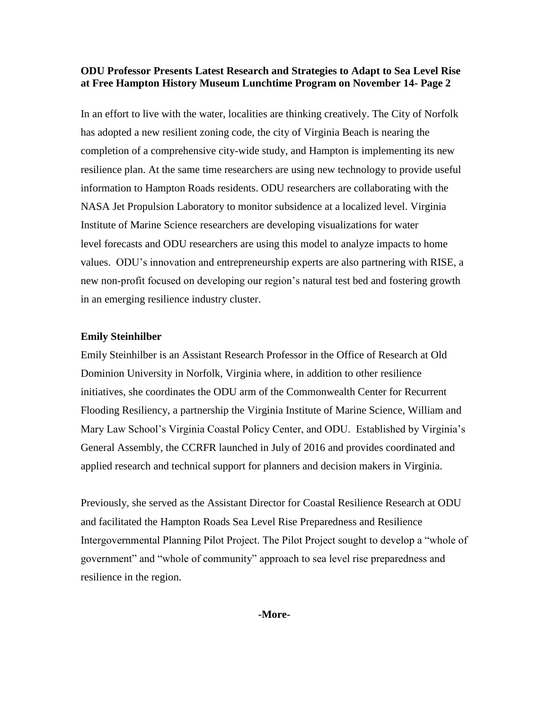## **ODU Professor Presents Latest Research and Strategies to Adapt to Sea Level Rise at Free Hampton History Museum Lunchtime Program on November 14- Page 2**

In an effort to live with the water, localities are thinking creatively. The City of Norfolk has adopted a new resilient zoning code, the city of Virginia Beach is nearing the completion of a comprehensive city-wide study, and Hampton is implementing its new resilience plan. At the same time researchers are using new technology to provide useful information to Hampton Roads residents. ODU researchers are collaborating with the NASA Jet Propulsion Laboratory to monitor subsidence at a localized level. Virginia Institute of Marine Science researchers are developing visualizations for water level forecasts and ODU researchers are using this model to analyze impacts to home values. ODU's innovation and entrepreneurship experts are also partnering with RISE, a new non-profit focused on developing our region's natural test bed and fostering growth in an emerging resilience industry cluster.

#### **Emily Steinhilber**

Emily Steinhilber is an Assistant Research Professor in the Office of Research at Old Dominion University in Norfolk, Virginia where, in addition to other resilience initiatives, she coordinates the ODU arm of the Commonwealth Center for Recurrent Flooding Resiliency, a partnership the Virginia Institute of Marine Science, William and Mary Law School's Virginia Coastal Policy Center, and ODU. Established by Virginia's General Assembly, the CCRFR launched in July of 2016 and provides coordinated and applied research and technical support for planners and decision makers in Virginia.

Previously, she served as the Assistant Director for Coastal Resilience Research at ODU and facilitated the Hampton Roads Sea Level Rise Preparedness and Resilience Intergovernmental Planning Pilot Project. The Pilot Project sought to develop a "whole of government" and "whole of community" approach to sea level rise preparedness and resilience in the region.